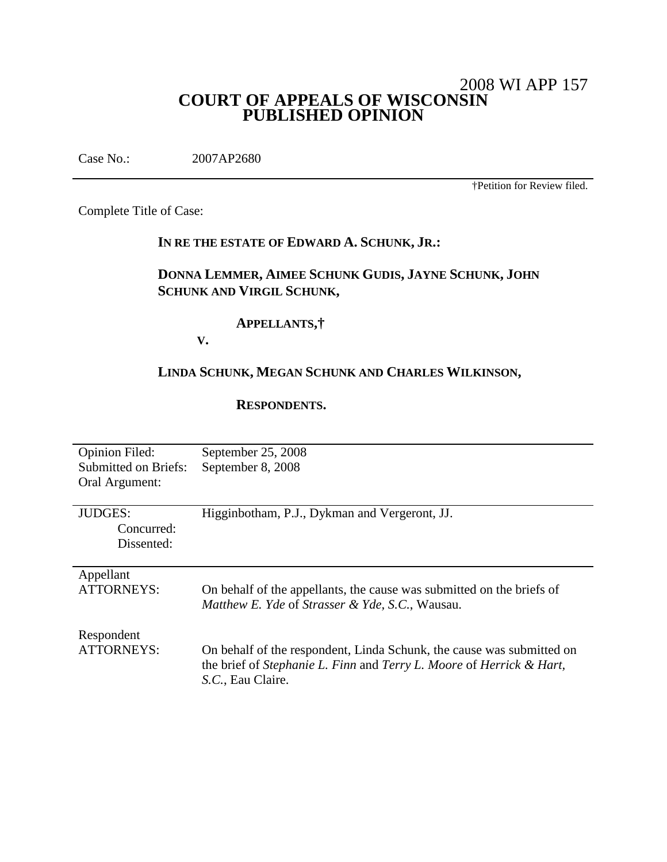# 2008 WI APP 157 **COURT OF APPEALS OF WISCONSIN PUBLISHED OPINION**

Case No.: 2007AP2680

†Petition for Review filed.

Complete Title of Case:

# **IN RE THE ESTATE OF EDWARD A. SCHUNK, JR.:**

# **DONNA LEMMER, AIMEE SCHUNK GUDIS, JAYNE SCHUNK, JOHN SCHUNK AND VIRGIL SCHUNK,**

## **APPELLANTS,†**

**V.**

# **LINDA SCHUNK, MEGAN SCHUNK AND CHARLES WILKINSON,**

#### **RESPONDENTS.**

| <b>Opinion Filed:</b><br>Submitted on Briefs:<br>Oral Argument: | September 25, 2008<br>September 8, 2008                                                                                                                            |
|-----------------------------------------------------------------|--------------------------------------------------------------------------------------------------------------------------------------------------------------------|
| <b>JUDGES:</b><br>Concurred:<br>Dissented:                      | Higginbotham, P.J., Dykman and Vergeront, JJ.                                                                                                                      |
| Appellant<br>ATTORNEYS:                                         | On behalf of the appellants, the cause was submitted on the briefs of<br>Matthew E. Yde of Strasser & Yde, S.C., Wausau.                                           |
| Respondent<br>ATTORNEYS:                                        | On behalf of the respondent, Linda Schunk, the cause was submitted on<br>the brief of Stephanie L. Finn and Terry L. Moore of Herrick & Hart,<br>S.C., Eau Claire. |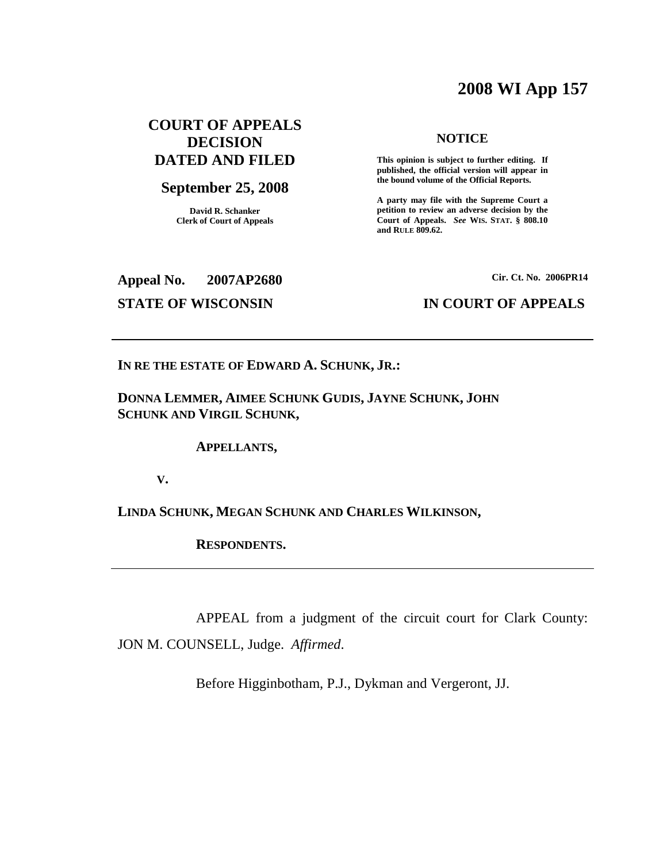# **2008 WI App 157**

# **COURT OF APPEALS DECISION DATED AND FILED**

## **September 25, 2008**

**David R. Schanker Clerk of Court of Appeals**

#### **NOTICE**

**This opinion is subject to further editing. If published, the official version will appear in the bound volume of the Official Reports.**

**A party may file with the Supreme Court a petition to review an adverse decision by the Court of Appeals.** *See* **WIS. STAT. § 808.10 and RULE 809.62.**

**Appeal No. 2007AP2680**

**Cir. Ct. No. 2006PR14**

### **STATE OF WISCONSIN IN COURT OF APPEALS**

**IN RE THE ESTATE OF EDWARD A. SCHUNK, JR.:**

**DONNA LEMMER, AIMEE SCHUNK GUDIS, JAYNE SCHUNK, JOHN SCHUNK AND VIRGIL SCHUNK,**

**APPELLANTS,**

**V.**

**LINDA SCHUNK, MEGAN SCHUNK AND CHARLES WILKINSON,**

**RESPONDENTS.**

APPEAL from a judgment of the circuit court for Clark County: JON M. COUNSELL, Judge. *Affirmed*.

Before Higginbotham, P.J., Dykman and Vergeront, JJ.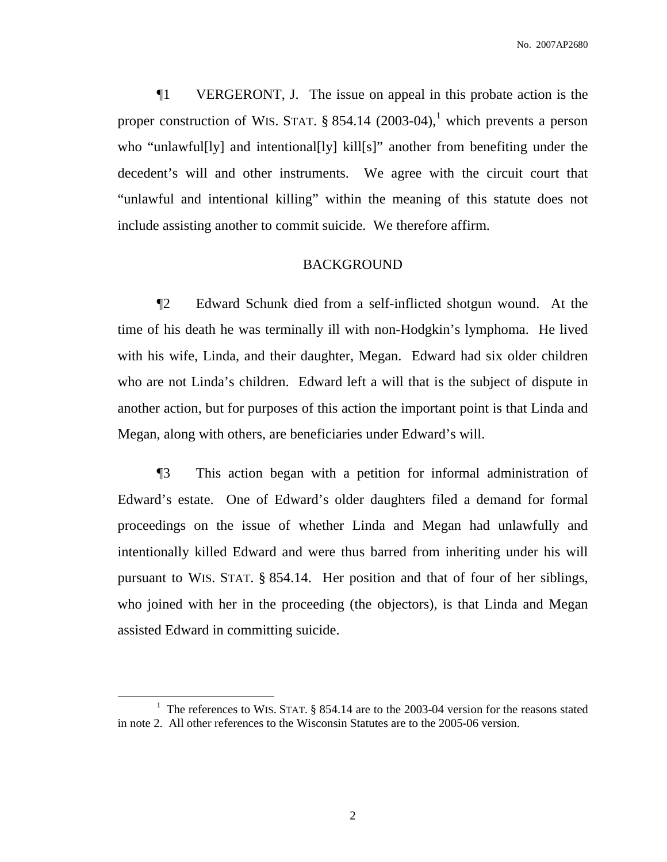¶1 VERGERONT, J. The issue on appeal in this probate action is the proper construction of WIS. STAT. § 854.14 (2003-04),<sup>1</sup> which prevents a person who "unlawful[ly] and intentional[ly] kill[s]" another from benefiting under the decedent's will and other instruments. We agree with the circuit court that "unlawful and intentional killing" within the meaning of this statute does not include assisting another to commit suicide. We therefore affirm.

#### BACKGROUND

¶2 Edward Schunk died from a self-inflicted shotgun wound. At the time of his death he was terminally ill with non-Hodgkin's lymphoma. He lived with his wife, Linda, and their daughter, Megan. Edward had six older children who are not Linda's children. Edward left a will that is the subject of dispute in another action, but for purposes of this action the important point is that Linda and Megan, along with others, are beneficiaries under Edward's will.

¶3 This action began with a petition for informal administration of Edward's estate. One of Edward's older daughters filed a demand for formal proceedings on the issue of whether Linda and Megan had unlawfully and intentionally killed Edward and were thus barred from inheriting under his will pursuant to WIS. STAT. § 854.14. Her position and that of four of her siblings, who joined with her in the proceeding (the objectors), is that Linda and Megan assisted Edward in committing suicide.

<sup>&</sup>lt;sup>1</sup> The references to WIS. STAT. § 854.14 are to the 2003-04 version for the reasons stated in note 2. All other references to the Wisconsin Statutes are to the 2005-06 version.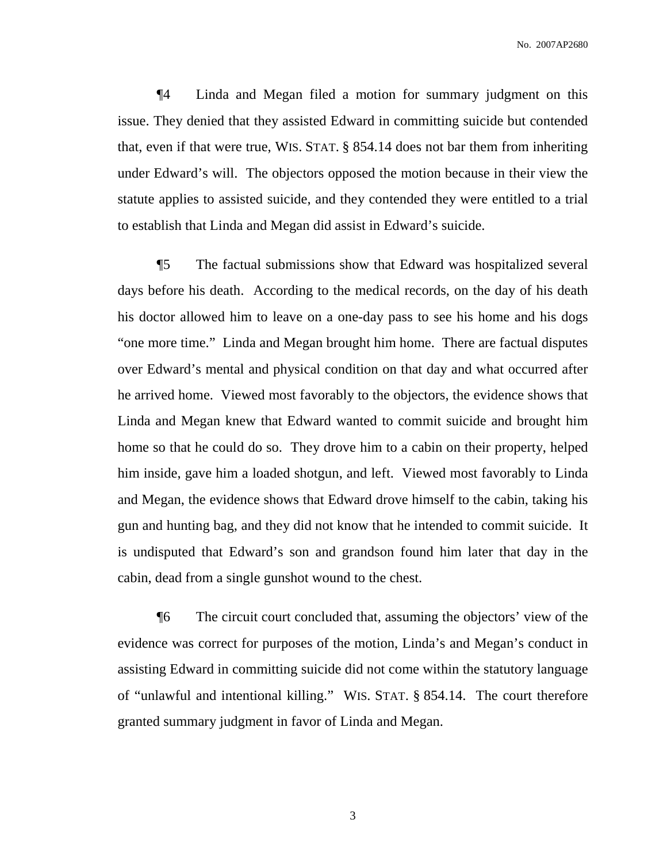¶4 Linda and Megan filed a motion for summary judgment on this issue. They denied that they assisted Edward in committing suicide but contended that, even if that were true, WIS. STAT. § 854.14 does not bar them from inheriting under Edward's will. The objectors opposed the motion because in their view the statute applies to assisted suicide, and they contended they were entitled to a trial to establish that Linda and Megan did assist in Edward's suicide.

¶5 The factual submissions show that Edward was hospitalized several days before his death. According to the medical records, on the day of his death his doctor allowed him to leave on a one-day pass to see his home and his dogs "one more time." Linda and Megan brought him home. There are factual disputes over Edward's mental and physical condition on that day and what occurred after he arrived home. Viewed most favorably to the objectors, the evidence shows that Linda and Megan knew that Edward wanted to commit suicide and brought him home so that he could do so. They drove him to a cabin on their property, helped him inside, gave him a loaded shotgun, and left. Viewed most favorably to Linda and Megan, the evidence shows that Edward drove himself to the cabin, taking his gun and hunting bag, and they did not know that he intended to commit suicide. It is undisputed that Edward's son and grandson found him later that day in the cabin, dead from a single gunshot wound to the chest.

¶6 The circuit court concluded that, assuming the objectors' view of the evidence was correct for purposes of the motion, Linda's and Megan's conduct in assisting Edward in committing suicide did not come within the statutory language of "unlawful and intentional killing." WIS. STAT. § 854.14. The court therefore granted summary judgment in favor of Linda and Megan.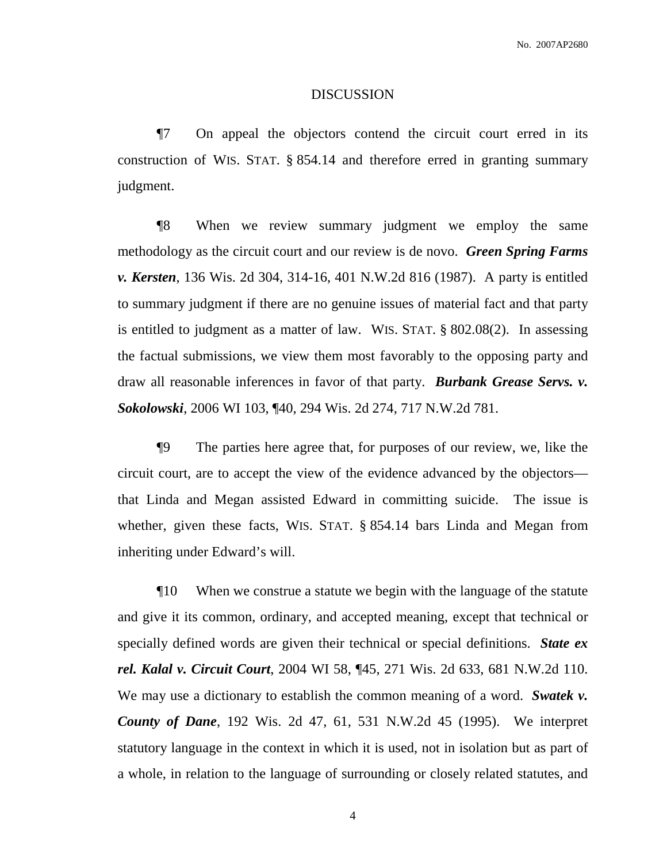#### DISCUSSION

¶7 On appeal the objectors contend the circuit court erred in its construction of WIS. STAT. § 854.14 and therefore erred in granting summary judgment.

¶8 When we review summary judgment we employ the same methodology as the circuit court and our review is de novo. *Green Spring Farms v. Kersten*, 136 Wis. 2d 304, 314-16, 401 N.W.2d 816 (1987). A party is entitled to summary judgment if there are no genuine issues of material fact and that party is entitled to judgment as a matter of law. WIS. STAT. § 802.08(2). In assessing the factual submissions, we view them most favorably to the opposing party and draw all reasonable inferences in favor of that party. *Burbank Grease Servs. v. Sokolowski*, 2006 WI 103, ¶40, 294 Wis. 2d 274, 717 N.W.2d 781.

¶9 The parties here agree that, for purposes of our review, we, like the circuit court, are to accept the view of the evidence advanced by the objectors that Linda and Megan assisted Edward in committing suicide. The issue is whether, given these facts, WIS. STAT. § 854.14 bars Linda and Megan from inheriting under Edward's will.

¶10 When we construe a statute we begin with the language of the statute and give it its common, ordinary, and accepted meaning, except that technical or specially defined words are given their technical or special definitions. *State ex rel. Kalal v. Circuit Court*, 2004 WI 58, ¶45, 271 Wis. 2d 633, 681 N.W.2d 110. We may use a dictionary to establish the common meaning of a word. *Swatek v. County of Dane*, 192 Wis. 2d 47, 61, 531 N.W.2d 45 (1995). We interpret statutory language in the context in which it is used, not in isolation but as part of a whole, in relation to the language of surrounding or closely related statutes, and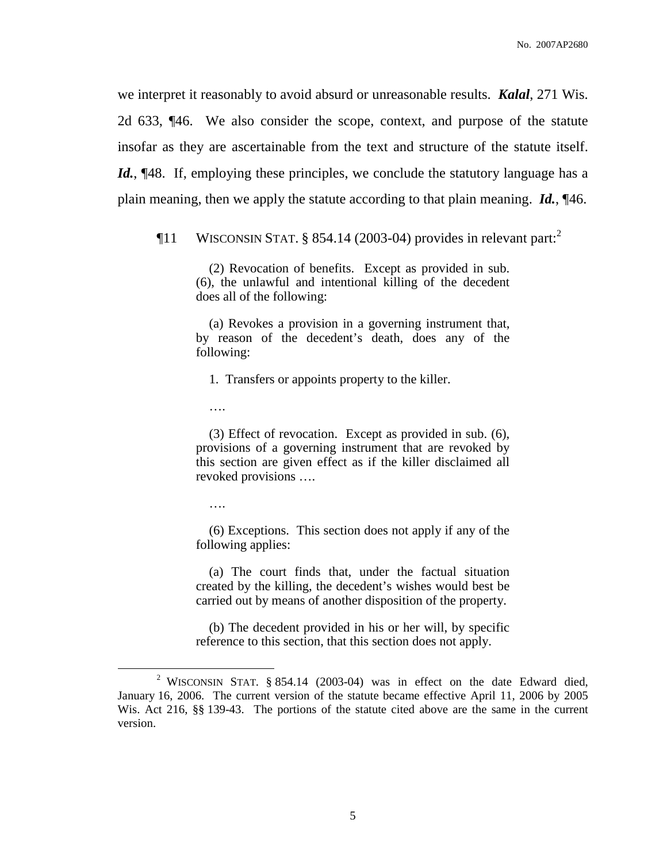we interpret it reasonably to avoid absurd or unreasonable results. *Kalal*, 271 Wis. 2d 633, ¶46. We also consider the scope, context, and purpose of the statute insofar as they are ascertainable from the text and structure of the statute itself. Id., [48. If, employing these principles, we conclude the statutory language has a plain meaning, then we apply the statute according to that plain meaning. *Id.*, ¶46.

 $\P$ 11 WISCONSIN STAT. § 854.14 (2003-04) provides in relevant part:<sup>2</sup>

(2) Revocation of benefits. Except as provided in sub. (6), the unlawful and intentional killing of the decedent does all of the following:

(a) Revokes a provision in a governing instrument that, by reason of the decedent's death, does any of the following:

1. Transfers or appoints property to the killer.

….

(3) Effect of revocation. Except as provided in sub. (6), provisions of a governing instrument that are revoked by this section are given effect as if the killer disclaimed all revoked provisions ….

….

(6) Exceptions. This section does not apply if any of the following applies:

(a) The court finds that, under the factual situation created by the killing, the decedent's wishes would best be carried out by means of another disposition of the property.

(b) The decedent provided in his or her will, by specific reference to this section, that this section does not apply.

<sup>&</sup>lt;sup>2</sup> WISCONSIN STAT. § 854.14 (2003-04) was in effect on the date Edward died, January 16, 2006. The current version of the statute became effective April 11, 2006 by 2005 Wis. Act 216, §§ 139-43. The portions of the statute cited above are the same in the current version.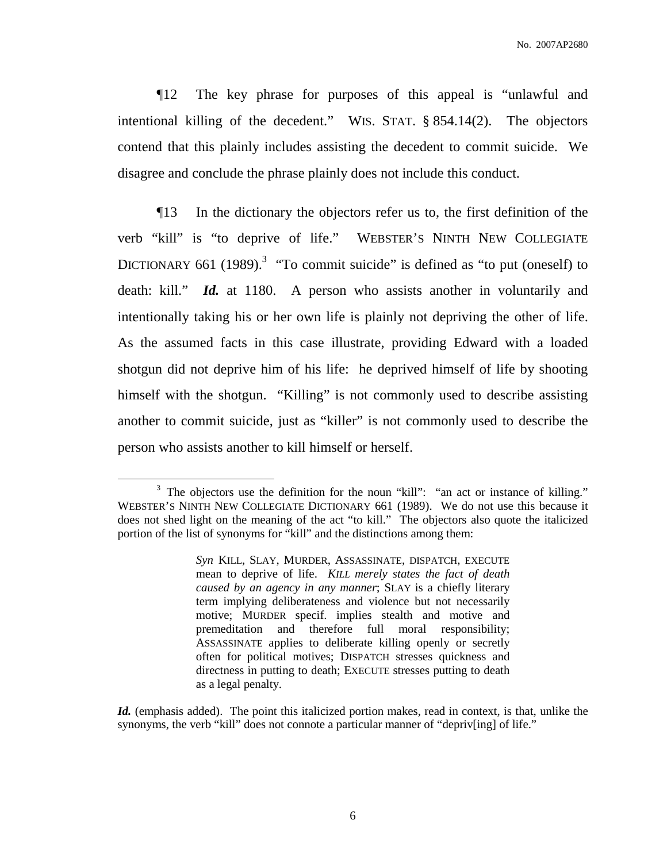¶12 The key phrase for purposes of this appeal is "unlawful and intentional killing of the decedent." WIS. STAT. § 854.14(2). The objectors contend that this plainly includes assisting the decedent to commit suicide. We disagree and conclude the phrase plainly does not include this conduct.

¶13 In the dictionary the objectors refer us to, the first definition of the verb "kill" is "to deprive of life." WEBSTER'S NINTH NEW COLLEGIATE DICTIONARY 661 (1989).<sup>3</sup> "To commit suicide" is defined as "to put (oneself) to death: kill." *Id.* at 1180. A person who assists another in voluntarily and intentionally taking his or her own life is plainly not depriving the other of life. As the assumed facts in this case illustrate, providing Edward with a loaded shotgun did not deprive him of his life: he deprived himself of life by shooting himself with the shotgun. "Killing" is not commonly used to describe assisting another to commit suicide, just as "killer" is not commonly used to describe the person who assists another to kill himself or herself.

<sup>&</sup>lt;sup>3</sup> The objectors use the definition for the noun "kill": "an act or instance of killing." WEBSTER'S NINTH NEW COLLEGIATE DICTIONARY 661 (1989). We do not use this because it does not shed light on the meaning of the act "to kill." The objectors also quote the italicized portion of the list of synonyms for "kill" and the distinctions among them:

*Syn* KILL, SLAY, MURDER, ASSASSINATE, DISPATCH, EXECUTE mean to deprive of life. *KILL merely states the fact of death caused by an agency in any manner*; SLAY is a chiefly literary term implying deliberateness and violence but not necessarily motive; MURDER specif. implies stealth and motive and premeditation and therefore full moral responsibility; ASSASSINATE applies to deliberate killing openly or secretly often for political motives; DISPATCH stresses quickness and directness in putting to death; EXECUTE stresses putting to death as a legal penalty.

*Id.* (emphasis added). The point this italicized portion makes, read in context, is that, unlike the synonyms, the verb "kill" does not connote a particular manner of "depriv[ing] of life."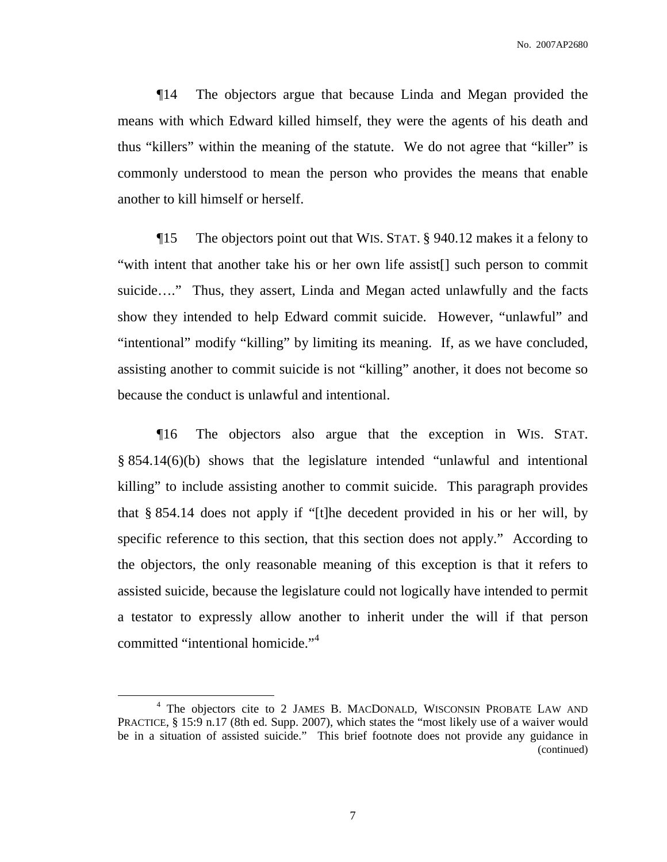¶14 The objectors argue that because Linda and Megan provided the means with which Edward killed himself, they were the agents of his death and thus "killers" within the meaning of the statute. We do not agree that "killer" is commonly understood to mean the person who provides the means that enable another to kill himself or herself.

¶15 The objectors point out that WIS. STAT. § 940.12 makes it a felony to "with intent that another take his or her own life assist[] such person to commit suicide…." Thus, they assert, Linda and Megan acted unlawfully and the facts show they intended to help Edward commit suicide. However, "unlawful" and "intentional" modify "killing" by limiting its meaning. If, as we have concluded, assisting another to commit suicide is not "killing" another, it does not become so because the conduct is unlawful and intentional.

¶16 The objectors also argue that the exception in WIS. STAT. § 854.14(6)(b) shows that the legislature intended "unlawful and intentional killing" to include assisting another to commit suicide. This paragraph provides that § 854.14 does not apply if "[t]he decedent provided in his or her will, by specific reference to this section, that this section does not apply." According to the objectors, the only reasonable meaning of this exception is that it refers to assisted suicide, because the legislature could not logically have intended to permit a testator to expressly allow another to inherit under the will if that person committed "intentional homicide." 4

<sup>4</sup> The objectors cite to 2 JAMES B. MACDONALD, WISCONSIN PROBATE LAW AND PRACTICE, § 15:9 n.17 (8th ed. Supp. 2007), which states the "most likely use of a waiver would be in a situation of assisted suicide." This brief footnote does not provide any guidance in (continued)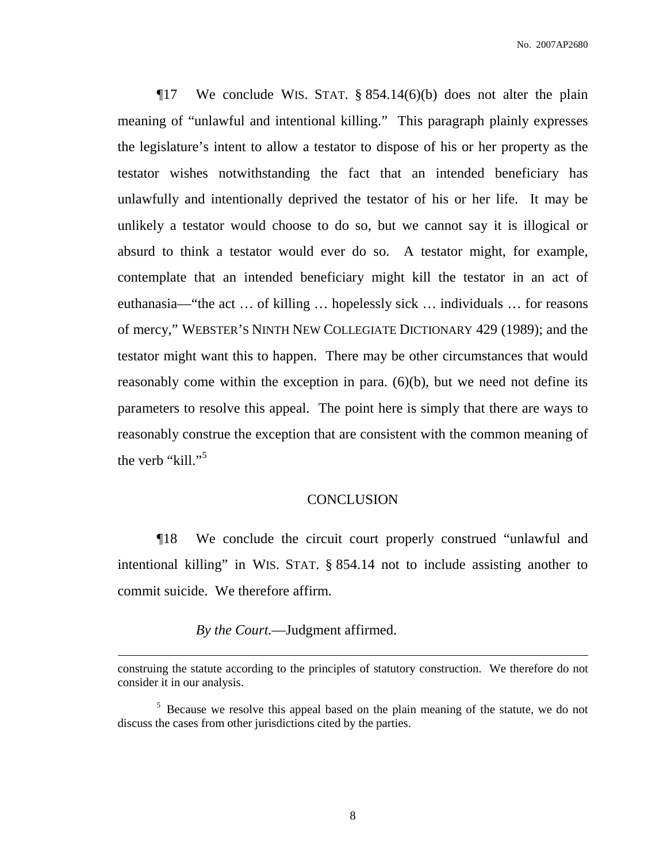$\P$ 17 We conclude WIS. STAT. § 854.14(6)(b) does not alter the plain meaning of "unlawful and intentional killing." This paragraph plainly expresses the legislature's intent to allow a testator to dispose of his or her property as the testator wishes notwithstanding the fact that an intended beneficiary has unlawfully and intentionally deprived the testator of his or her life. It may be unlikely a testator would choose to do so, but we cannot say it is illogical or absurd to think a testator would ever do so. A testator might, for example, contemplate that an intended beneficiary might kill the testator in an act of euthanasia—"the act … of killing … hopelessly sick … individuals … for reasons of mercy," WEBSTER'S NINTH NEW COLLEGIATE DICTIONARY 429 (1989); and the testator might want this to happen. There may be other circumstances that would reasonably come within the exception in para. (6)(b), but we need not define its parameters to resolve this appeal. The point here is simply that there are ways to reasonably construe the exception that are consistent with the common meaning of the verb "kill."<sup>5</sup>

#### **CONCLUSION**

¶18 We conclude the circuit court properly construed "unlawful and intentional killing" in WIS. STAT. § 854.14 not to include assisting another to commit suicide. We therefore affirm.

*By the Court.*—Judgment affirmed.

construing the statute according to the principles of statutory construction. We therefore do not consider it in our analysis.

<sup>&</sup>lt;sup>5</sup> Because we resolve this appeal based on the plain meaning of the statute, we do not discuss the cases from other jurisdictions cited by the parties.